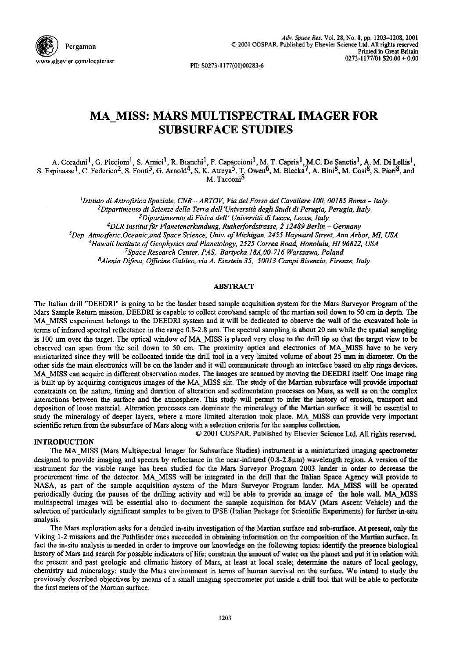

PII: S0273-1177(01)00283-6

# **MA MISS: MARS MULTISPECTRAL IMAGER FOR SUBSURFACE STUDIES**

A. Coradini<sup>1</sup>, G. Piccioni<sup>1</sup>, S. Amici<sup>1</sup>, R. Bianchi<sup>1</sup>, F. Capaccioni<sup>1</sup>, M. T. Capria<sup>1</sup>, M.C. De Sanctis<sup>1</sup>, A. M. Di Lellis<sup>1</sup>, S. Espinasse <sup>1</sup>, C. Federico <sup>2</sup>, S. Fonti <sup>3</sup>, G. Arnold <sup>4</sup>, S. K. Atreya <sup>3</sup>, T. Owen <sup>0</sup>, M. Blecka <sup>7</sup>, A. Bini <sup>8</sup>, M. Cosi <sup>8</sup>, S. Pieri <sup>8</sup>, and M. Tacconi<sup>8</sup>

> *I lstituto di Astrofisica Spaziale, CNR- ARTOV, Via del Fosso del Cavaliere 100, 00185 Roma- Italy*  <sup>2</sup>Dipartimento di Scienze della Terra dell'Università degli Studi di Perugia, Perugia, Italy

<sup>3</sup>Dipartimernto di Fisica dell' Università di Lecce, Lecce, Italy

*4 DLR Institut fiir Planetenerkundung, Rutherfordstrasse, 2 12489 Berlin - Germany* 

*5Dep. Atmosferic, Oceanic, and Space Science, Univ. of Michigan, 2455 Hayward Street, Ann Arbor, ML USA* 

*6Hawaii Institute of Geophysics and Planetology, 2525 Correa Road, Honolulu, HI 96822, USA* 

*7Space Research Center, PAS, Bartycka 18A,00-716 Warszawa, Poland* 

*8Alenia Difesa, Officine Galileo, via A. Einstein 35, 50013 Campi Bisenzio, Firenze, Italy* 

## ABSTRACT

The Italian drill "DEEDRI" is going to be the lander based sample acquisition system for the Mars Surveyor Program of the Mars Sample Return mission. DEEDRI is capable to collect core/sand sample of the martian soil down to 50 cm in depth. The MA\_MISS experiment belongs to the DEEDRI system and it will be dedicated to observe the wall of the excavated hole in terms of infrared spectral reflectance in the range  $0.8$ -2.8  $\mu$ m. The spectral sampling is about 20 nm while the spatial sampling is 100 µm over the target. The optical window of MA\_MISS is placed very close to the drill tip so that the target view to be observed can span from the soil down to 50 cm. The proximity optics and electronics of MA\_MISS have to be very miniaturized since they will be collocated inside the drill tool in a very limited volume of about 25 mm in diameter. On the other side the main electronics will be on the lander and it will communicate through an interface based on slip rings devices. MA MISS can acquire in different observation modes. The images are scanned by moving the DEEDRI itself. One image ring is built up by acquiring contiguous images of the MA\_MISS slit. The study of the Martian subsurface will provide important constraints on the nature, timing and duration of alteration and sedimentation processes on Mars, as well as on the complex interactions between the surface and the atmosphere. This study will permit to infer the history of erosion, transport and deposition of loose material. Alteration processes can dominate the mineralogy of the Martian surface: it will be essential to study the mineralogy of deeper layers, where a more limited alteration took place. MA\_MISS can provide very important scientific return from the subsurface of Mars along with a selection criteria for the samples collection.

# INTRODUCTION

© 2001 COSPAR. Published by Elsevier Science Ltd. All rights reserved.

The MA\_MISS (Mars Multispectral Imager for Subsurface Studies) instrument is a miniaturized imaging spectrometer designed to provide imaging and spectra by reflectance in the near-infrared  $(0.8-2.8 \mu m)$  wavelength region. A version of the instrument for the visible range has been studied for the Mars Surveyor Program 2003 lander in order to decrease the procurement time of the detector. MA\_MISS will be integrated in the drill that the Italian Space Agency will provide to NASA, as part of the sample acquisition system of the Mars Surveyor Program lander. MA MISS will be operated periodically during the pauses of the drilling activity and will be able to provide an image of the hole wall. MA\_MISS multispectral images will be essential also to document the sample acquisition for MAV (Mars Ascent Vehicle) and the selection of particularly significant samples to be given to IPSE (Italian Package for Scientific Experiments) for further in-situ analysis.

The Mars exploration asks for a detailed in-situ investigation of the Martian surface and sub-surface. At present, only the Viking 1-2 missions and the Pathfinder ones succeeded in obtaining information on the composition of the Martian surface. In fact the in-situ analysis is needed in order to improve our knowledge on the following topics: identify the presence biological history of Mars and search for possible indicators of life; constrain the amount of water on the planet and put it in relation with the present and past geologic and climatic history of Mars, at least at local scale; determine the nature of local geology, chemistry and mineralogy; study the Mars environment in terms of human survival on the surface. We intend to study the previously described objectives by means of a small imaging spectrometer put inside a drill tool that will be able to perforate the first meters of the Martian surface.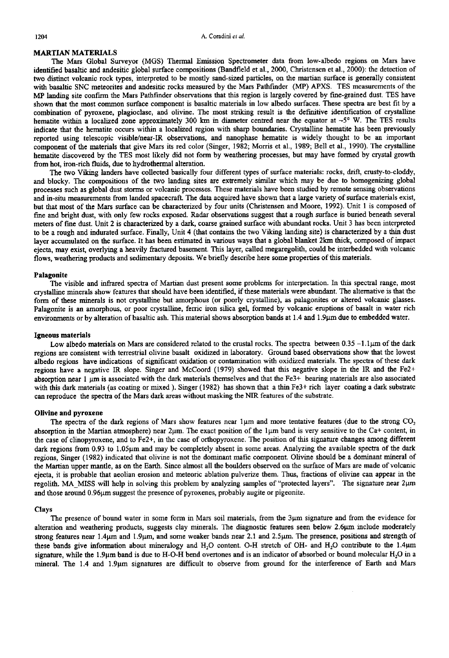## MARTIAN MATERIALS

The Mars Global Surveyor (MGS) Thermal Emission Spectrometer data from low-albedo regions on Mars have identified basaltic and andesitic global surface compositions (Bandfield et al., 2000, Christensen et al., 2000): the detection of two distinct volcanic rock types, interpreted to be mostly sand-sized particles, on the martian surface is generally consistent with basaltic SNC meteorites and andesitic rocks measured by the Mars Pathfinder (MP) APXS. TES measurements of the MP landing site confirm the Mars Pathfinder observations that this region is largely covered by fine-grained dust. TES have shown that the most common surface component is basaltic materials in low albedo surfaces. These spectra are best fit by a combination of pyroxene, plagioclase, and olivine. The most striking result is the definitive identification of crystalline hematite within a localized zone approximately 300 km in diameter centred near the equator at  $-5^\circ$  W. The TES results indicate that the hematite occurs within a localized region with sharp boundaries. Crystalline hematite has been previously reported using telescopic visible/near-IR observations, and nanophase hematite is widely thought to be an important component of the materials that give Mars its red color (Singer, 1982; Morris et al., 1989; Bell et al., 1990). The crystalline hematite discovered by the TES most likely did not form by weathering processes, but may have formed by crystal growth from hot, iron-rich fluids, due to hydrothermal alteration.

The two Viking landers have collected basically four different types of surface materials: rocks, drift, crusty-to-cloddy, and blocky. The compositions of the two landing sites are extremely similar which may be due to homogenizing global processes such as global dust storms or volcanic processes. These materials have been studied by remote sensing observations and in-situ measurements from landed spacecraft. The data acquired have shown that a large variety of surface materials exist, but that most of the Mars surface can be characterized by four units (Christensen and Moore, 1992). Unit 1 is composed of fine and bright dust, with only few rocks exposed. Radar observations suggest that a rough surface is buried beneath several meters of fine dust. Unit 2 is characterized by a dark, coarse grained surface with abundant rocks. Unit 3 has been interpreted to be a rough and indurated surface. Finally, Unit 4 (that contains the two Viking landing site) is characterized by a thin dust layer accumulated on the surface. It has been estimated in various ways that a global blanket 2km thick, composed of impact ejecta, may exist, overlying a heavily fractured basement. This layer, called megaregolith, could be interbedded with volcanic flows, weathering products and sedimentary deposits. We briefly describe here some properties of this materials.

## **Palagonite**

The visible and infrared spectra of Martian dust present some problems for interpretation. In this spectral range, most crystalline minerals show features that should have been identified, if these materials were abundant. The alternative is that the form of these minerals is not crystalline but amorphous (or poorly crystalline), as palagonites or altered volcanic glasses. Palagonite is an amorphous, or poor crystalline, ferric iron silica gel, formed by volcanic eruptions of basalt in water rich environments or by alteration of basaltic ash. This material shows absorption bands at 1.4 and 1.9µm due to embedded water.

#### **Igneous materials**

Low albedo materials on Mars are considered related to the crustal rocks. The spectra between  $0.35 - 1.1 \mu m$  of the dark regions are consistent with terrestrial olivine basalt oxidized in laboratory. Ground based observations show that the lowest albedo regions have indications of significant oxidation or contamination with oxidized materials. The spectra of these dark regions have a negative IR slope. Singer and McCoord (1979) showed that this negative slope in the IR and the Fe2+ absorption near  $1 \mu$ m is associated with the dark materials themselves and that the Fe3+ bearing materials are also associated with this dark materials (as coating or mixed ). Singer (1982) has shown that a thin Fe3+ rich layer coating a dark substrate can reproduce the spectra of the Mars dark areas without masking the NIR features of the substrate.

## **Olivine and pyroxene**

The spectra of the dark regions of Mars show features near  $1\mu$ m and more tentative features (due to the strong CO<sub>2</sub>) absorption in the Martian atmosphere) near  $2\mu$ m. The exact position of the  $1\mu$ m band is very sensitive to the Ca+ content, in the case of clinopyroxene, and to Fe2+, in the case of orthopyroxene. The position of this signature changes among different dark regions from 0.93 to 1.05µm and may be completely absent in some areas. Analyzing the available spectra of the dark regions, Singer (1982) indicated that olivine is not the dominant mafic component. Olivine should be a dominant mineral of the Martian upper mantle, as on the Earth. Since almost all the boulders observed on the surface of Mars are made of volcanic ejecta, it is probable that aeolian erosion and meteoric ablation pulverize them. Thus, fractions of olivine can appear in the regolith. MA\_MISS will help in solving this problem by analyzing samples of "protected layers". The signature near 2µm and those around 0.96 $\mu$ m suggest the presence of pyroxenes, probably augite or pigeonite.

## **Clays**

The presence of bound water in some form in Mars soil materials, from the  $3\mu m$  signature and from the evidence for alteration and weathering products, suggests clay minerals. The diagnostic features seen below 2.6µm include moderately strong features near  $1.4\mu$ m and  $1.9\mu$ m, and some weaker bands near 2.1 and 2.5 $\mu$ m. The presence, positions and strength of these bands give information about mineralogy and  $H<sub>2</sub>O$  content. O-H stretch of OH- and  $H<sub>2</sub>O$  contribute to the 1.4 $\mu$ m signature, while the 1.9 $\mu$ m band is due to H-O-H bend overtones and is an indicator of absorbed or bound molecular H<sub>2</sub>O in a mineral. The 1.4 and 1.9µm signatures are difficult to observe from ground for the interference of Earth and Mars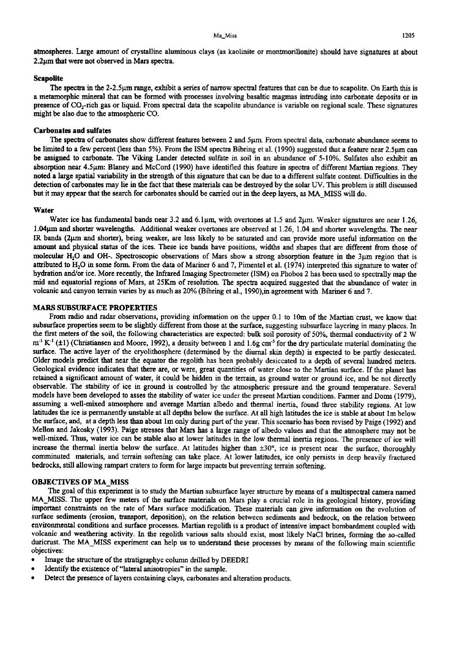atmospheres. Large amount of crystalline aluminous clays (as kaolinite or montmoriUonite) should have signatures at about 2.2um that were not observed in Mars spectra.

# **Seapolite**

The spectra in the 2-2.5<sup>um</sup> range, exhibit a series of narrow spectral features that can be due to scapolite. On Earth this is a metamorphic mineral that can be formed with processes involving basaltic magmas intruding into carbonate deposits or in presence of  $CO_2$ -rich gas or liquid. From spectral data the scapolite abundance is variable on regional scale. These signatures might be also due to the atmospheric CO.

## **Carbonates and sulfates**

The spectra of carbonates show different features between 2 and 5um. From spectral data, carbonate abundance seems to be limited to a few percent (less than 5%). From the ISM spectra Bibring et al. (1990) suggested that a feature near  $2.5<sub>µm</sub>$  can be assigned to carbonate. The Viking Lander detected sulfate in soil in an abundance of 5-10%. Sulfates also exhibit an absorption near 4.5µm: Blaney and McCord (1990) have identified this feature in spectra of different Martian regions. They noted a large spatial variability in the strength of this signature that can be due to a different sulfate content. Difficulties in the detection of carbonates may lie in the fact that these materials can be destroyed by the solar UV. This problem is still discussed but it may appear that the search for carbonates should be carried out in the deep layers, as MA\_MISS will do.

### **Water**

Water ice has fundamental bands near 3.2 and 6.1 $\mu$ m, with overtones at 1.5 and 2 $\mu$ m. Weaker signatures are near 1.26, 1.04 $\mu$ m and shorter wavelengths. Additional weaker overtones are observed at 1.26, 1.04 and shorter wavelengths. The near IR bands (2µm and shorter), being weaker, are less likely to be saturated and can provide more useful information on the amount and physical status of the ices. These ice bands have positions, widths and shapes that are different from those of molecular H<sub>2</sub>O and OH-. Spectroscopic observations of Mars show a strong absorption feature in the  $3\mu$ m region that is attributed to  $H_2O$  in some form. From the data of Mariner 6 and 7, Pimentel et al. (1974) interpreted this signature to water of hydration and/or ice. More recently, the Infrared Imaging Spectrometer (ISM) on Phobos 2 has been used to spectrally map the mid and equatorial regions of Mars, at 25Km of resolution. The spectra acquired suggested that the abundance of water in volcanic and canyon terrain varies by as much as 20% (Bibring et al., 1990),in agreement with Mariner 6 and 7.

## MARS SUBSURFACE PROPERTIES

From radio and radar observations, providing information on the upper 0.1 to 10m of the Martian crust, we know that subsurface properties seem to be slightly different from those at the surface, suggesting subsurface layering in many places. In the first meters of the soil, the following characteristics are expected: bulk soil porosity of 50%, thermal conductivity of 2 W  $m<sup>1</sup> K<sup>-1</sup>$  ( $\pm 1$ ) (Christiansen and Moore, 1992), a density between 1 and 1.6g cm<sup>-3</sup> for the dry particulate material dominating the surface. The active layer of the cryolithosphere (determined by the diurnal skin depth) is expected to be partly desiccated. Older models predict that near the equator the regolith has been probably desiccated to a depth of several hundred meters. Geological evidence indicates that there are, or were, great quantities of water close to the Martian surface. If the planet has retained a significant amount of water, it could be hidden in the terrain, as ground water or ground ice, and be not directly observable. The stability of ice in ground is controlled by the atmospheric pressure and the ground temperature. Several models have been developed to asses the stability of water ice under the present Martian conditions. Farmer and Doms (1979), assuming a well-mixed atmosphere and average Martian albedo and thermal inertia, found three stability regions. At low latitudes the ice is permanently unstable at all depths below the surface. At all high latitudes the ice is stable at about lm below the surface, and, at a depth less than about lm only during part of the year. This scenario has been revised by Paige (1992) and Mellon and Jakosky (1993). Paige stresses that Mars has a large range of albedo values and that the atmosphere may not be well-mixed. Thus, water ice can be stable also at lower latitudes in the low thermal inertia regions. The presence of ice will increase the thermal inertia below the surface. At latitudes higher than  $\pm 30^\circ$ , ice is present near the surface, thoroughly comminuted materials, and terrain softening can take place. At lower latitudes, ice only persists in deep heavily fractured bedrocks, still allowing rampart craters to form for large impacts but preventing terrain softening.

### OBJECTIVES OF MA MISS

The goal of this experiment is to study the Martian subsurface layer structure by means of a multispectral camera named MA\_MISS. The upper few meters of the surface materials on Mars play a crucial role in its geological history, providing important constraints on the rate of Mars surface modification. These materials can give information on the evolution of surface sediments (erosion, transport, deposition), on the relation between sediments and bedrock, on the relation between environmental conditions and surface processes. Martian regolith is a product of intensive impact bombardment coupled with volcanic and weathering activity. In the regolith various salts should exist, most likely NaCI brines, forming the so-called duricrust. The MA\_MISS experiment can help us to understand these processes by means of the following main scientific objectives:

- Image the structure of the stratigraphyc column drilled by DEEDRI
- Identify the existence of "lateral anisotropies" in the sample.
- Detect the presence of layers containing clays, carbonates and alteration products.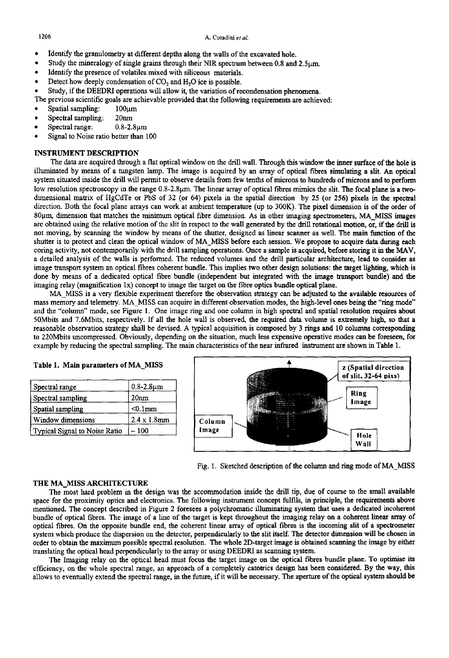- Identify the granulometry at different depths along the walls of the excavated hole.
- Study the mineralogy of single grains through their NIR spectrum between 0.8 and  $2.5 \mu m$ .
- Identify the presence of volatiles mixed with siliceous materials.
- Detect how deeply condensation of CO<sub>2</sub> and H<sub>2</sub>O ice is possible.

• Study, if the DEEDRI operations will allow it, the variation of recondensation phenomena.

The previous scientific goals are achievable provided that the following requirements are achieved:

- $S$ patial sampling:  $100~\mu m$
- Spectral sampling: 20nm
- $Spectral range: 0.8-2.8~\mu m$
- Signal to Noise ratio better than 100

# INSTRUMENT DESCRIPTION

The data are acquired through a flat optical window on the drill wall. Through this window the inner surface of the hole is illuminated by means of a tungsten lamp. The image is acquired by an array of optical fibres simulating a slit. An optical system situated inside the drill will permit to observe details from few tenths of microns to hundreds of microm and to perform low resolution spectroscopy in the range 0.8-2.8µm. The linear array of optical fibres mimics the slit. The focal plane is a twodimensional matrix of HgCdTe or PbS of 32 (or 64) pixels in the spatial direction by 25 (or 256) pixels in the spectral direction. Both the focal plane arrays can work at ambient temperature (up to 300K). The pixel dimension is of the order of 80µm, dimension that matches the minimum optical fibre dimension. As in other imaging spectrometers, MA\_MISS images are obtained using the relative motion of the slit in respect to the wall generated by the drill rotational motion, or, if the drill is not moving, by scanning the window by means of the shutter, designed as linear scanner as well. The main function of the shutter is to protect and clean the optical window of MA\_MISS before each session. We propose to acquire data during **each**  coring activity, not contemporarily with the drill sampling operations. Once a sample is acquired, before storing it in the MAV, a detailed analysis of the walls is performed. The reduced volumes and the drill particular architecture, lead to consider **as**  image transport system an optical fibres coherent bundle. This implies two other design solutions: the target lighting, which is done by means of a dedicated optical fibre bundle (independent but integrated with the image transport bundle) and the imaging relay (magnification  $1x$ ) concept to image the target on the fibre optics bundle optical plane.

MA\_MISS is a very flexible experiment therefore the observation strategy can be adjusted to the available resources of mass memory and telemetry. MA MISS can acquire in different observation modes, the high-level ones being the "ring mode" and the "column" mode, see Figure 1. One image ring and one column in high spectral and spatial resolution requires **about**  50Mbits and 7.6Mbits, respectively. If all the hole wall is observed, the required data volume is extremely high, so that a reasonable observation strategy shall be devised. A typical acquisition is composed by 3 tings and 10 columns corresponding to 220Mbits uncompressed. Obviously, depending on the situation, much less expensive operative modes can be foreseen, for example by reducing the spectral sampling. The main characteristics of the near infrared instrument are shown in Table 1.

| Spectral range                | $0.8 - 2.8 \mu m$   |
|-------------------------------|---------------------|
| Spectral sampling             | 20 <sub>nm</sub>    |
| Spatial sampling              | $< 0.1$ mm          |
| Window dimensions             | $2.4 \times 1.8$ mm |
| Typical Signal to Noise Ratio | ~100                |

**Table 1. Main parameters of MA MISS** 



Fig. 1. Sketched description of the colunm and ring mode of MA\_MISS

# THE MA\_MISS ARCHITECTURE

The most hard problem in the design was the accommodation inside the drill tip, due of course to the small available space for the proximity optics and electronics. The following instrument concept fulfils, in principle, the requirements above mentioned. The concept described in Figure 2 foresees a polychromatic illuminating system that uses a dedicated incoherent bundle of optical fibres. The image of a line of the target is kept throughout the imaging relay on a coherent linear array of optical fibres. On the opposite bundle end, the coherent linear array of optical fibres is the incoming slit of a spectrometer system which produce the dispersion on the detector, perpendicularly to the slit itself. The detector dimension will be chosen in order to obtain the maximum possible spectral resolution. The whole 2D-target image is obtained scanning the image by either translating the optical head perpendicularly to the array or using DEEDRI as scanning system.

The Imaging relay on the optical head must focus the target image on the optical fibres bundle plane. To optimise its efficiency, on the whole spectral range, an approach of a completely catotrics design has been considered. By the way, this allows to eventually extend the spectral range, in the future, if it will be necessary. The aperture of the optical system should be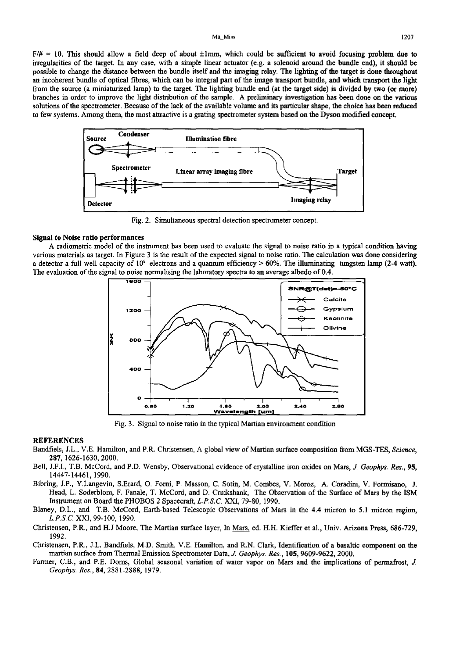#### Ma\_Miss 1207

 $F/\# = 10$ . This should allow a field deep of about  $\pm 1$ mm, which could be sufficient to avoid focusing problem due to irregularities of the target. In any case, with a simple linear actuator (e.g. a solenoid around the bundle end), it should be possible to change the distance between the bundle itself and the imaging relay. The lighting of the **target is** done throughout an incoherent bundle of optical fibres, which can be integral part of the image transport bundle, and which transport the **light**  from the source (a miniaturized lamp) to the target. The lighting bundle end (at the target side) is divided by two (or more) branches in order to improve the light distribution of the sample. A preliminary investigation has been done on the various solutions of the spectrometer. Because of the lack of the available volume and its particular shape, the choice has been reduced to few systems. Among them, the most attractive is a grating spectrometer system based on the Dyson modified concept.



Fig. 2. Simultaneous spectral detection spectrometer concept.

## **Signal to Noise ratio performances**

A radiometric model of the instrument has been used to evaluate the signal to noise ratio in a typical condition having various materials as target. In Figure 3 is the result of the expected signal to noise ratio. The calculation was done considering a detector a full well capacity of  $10^8$  electrons and a quantum efficiency > 60%. The illuminating tungsten lamp (2-4 watt). The evaluation of the signal to noise normalising the laboratory spectra to an average albedo of 0.4.



Fig. 3. Signal to noise ratio in the typical Martian environment condition

### REFERENCES

- Bandfiels, J.L., V.E. Hamilton, and P.R. Christensen, A global view of Martian surface composition from MGS-TES, *Science,*  287, 1626-1630, 2000.
- Bell, J.F.I., T.B. McCord, and P.D. Wensby, Observational evidence of crystalline iron oxides on Mars, J. *Geophys. Res., 95,*  14447-14461, 1990.
- Bibring, J.P., Y.Langevin, S.Erard, O. Fomi, P. Masson, C. Sotin, M. Combes, V. Moroz, A. Coradini, V. Formisano, J. Head, L. Soderblom, F. Fanale, T. McCord, and D. Cruikshank, The Observation of the Surface of Mars by the ISM Instrument on Board the PHOBOS 2 Spacecraft, *L.P.S.C* XXI, 79-80, 1990.
- Blaney, D.L., and T.B. McCord, Earth-based Telescopic Observations of Mars in the 4.4 micron to 5.1 micron region, *L.P.S.C* XXI, 99-100, 1990.
- Christensen, P.R., and H.J Moore, The Martian surface layer, In Mars, ed. H.H. Kieffer et al., Univ. Arizona Press, 686-729, 1992.
- Christensen, P.R., J.L. Bandfiels, M.D. Smith, V.E. Hamilton, and R.N. Clark, Identification of a basaltic component on the martian surface from Thermal Emission Spectrometer Data, *J. Geophys. Res.,* 105, 9609-9622, 2000.
- Farmer, C.B., and P.E. Doms, Global seasonal variation of water vapor on Mars and the implications of permafrost, J. *Geophys. Res.,* 84, 2881-2888, 1979.